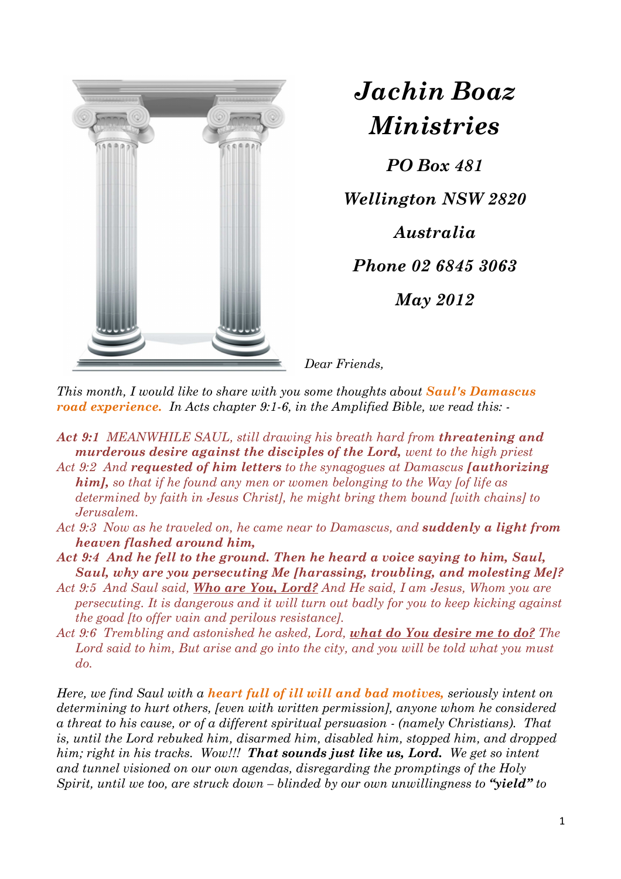

*Jachin Boaz Ministries*

*PO Box 481* 

*Wellington NSW 2820* 

*Australia* 

*Phone 02 6845 3063* 

*May 2012* 

*Dear Friends,* 

*This month, I would like to share with you some thoughts about Saul's Damascus road experience. In Acts chapter 9:1-6, in the Amplified Bible, we read this: -* 

*Act 9:1 MEANWHILE SAUL, still drawing his breath hard from threatening and murderous desire against the disciples of the Lord, went to the high priest Act 9:2 And requested of him letters to the synagogues at Damascus [authorizing* 

*him], so that if he found any men or women belonging to the Way [of life as determined by faith in Jesus Christ], he might bring them bound [with chains] to Jerusalem.* 

- *Act 9:3 Now as he traveled on, he came near to Damascus, and suddenly a light from heaven flashed around him,*
- *Act 9:4 And he fell to the ground. Then he heard a voice saying to him, Saul, Saul, why are you persecuting Me [harassing, troubling, and molesting Me]?*
- *Act 9:5 And Saul said, Who are You, Lord? And He said, I am Jesus, Whom you are persecuting. It is dangerous and it will turn out badly for you to keep kicking against the goad [to offer vain and perilous resistance].*
- *Act 9:6 Trembling and astonished he asked, Lord, what do You desire me to do? The*  Lord said to him, But arise and go into the city, and you will be told what you must *do.*

*Here, we find Saul with a heart full of ill will and bad motives, seriously intent on determining to hurt others, [even with written permission], anyone whom he considered a threat to his cause, or of a different spiritual persuasion - (namely Christians). That is, until the Lord rebuked him, disarmed him, disabled him, stopped him, and dropped him; right in his tracks. Wow!!! That sounds just like us, Lord. We get so intent and tunnel visioned on our own agendas, disregarding the promptings of the Holy Spirit, until we too, are struck down – blinded by our own unwillingness to "yield" to*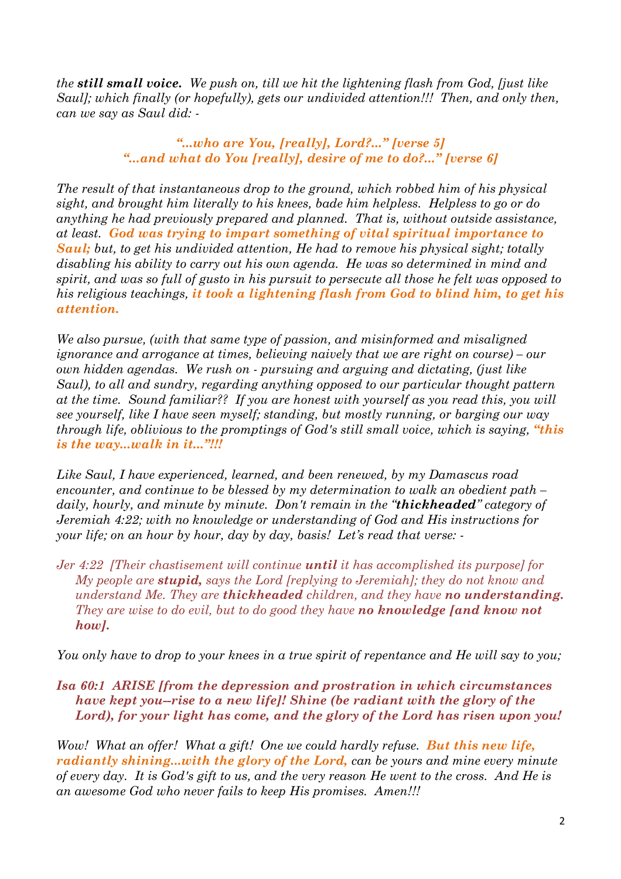*the still small voice. We push on, till we hit the lightening flash from God, [just like Saul]; which finally (or hopefully), gets our undivided attention!!! Then, and only then, can we say as Saul did: -* 

## *"...who are You, [really], Lord?..." [verse 5] "...and what do You [really], desire of me to do?..." [verse 6]*

*The result of that instantaneous drop to the ground, which robbed him of his physical sight, and brought him literally to his knees, bade him helpless. Helpless to go or do anything he had previously prepared and planned. That is, without outside assistance, at least. God was trying to impart something of vital spiritual importance to Saul; but, to get his undivided attention, He had to remove his physical sight; totally disabling his ability to carry out his own agenda. He was so determined in mind and spirit, and was so full of gusto in his pursuit to persecute all those he felt was opposed to his religious teachings, it took a lightening flash from God to blind him, to get his attention.* 

*We also pursue, (with that same type of passion, and misinformed and misaligned ignorance and arrogance at times, believing naively that we are right on course) – our own hidden agendas. We rush on - pursuing and arguing and dictating, (just like Saul), to all and sundry, regarding anything opposed to our particular thought pattern at the time. Sound familiar?? If you are honest with yourself as you read this, you will see yourself, like I have seen myself; standing, but mostly running, or barging our way through life, oblivious to the promptings of God's still small voice, which is saying, "this is the way...walk in it..."!!!* 

*Like Saul, I have experienced, learned, and been renewed, by my Damascus road encounter, and continue to be blessed by my determination to walk an obedient path – daily, hourly, and minute by minute. Don't remain in the "thickheaded" category of Jeremiah 4:22; with no knowledge or understanding of God and His instructions for your life; on an hour by hour, day by day, basis! Let's read that verse: -* 

*Jer 4:22 [Their chastisement will continue until it has accomplished its purpose] for My people are stupid, says the Lord [replying to Jeremiah]; they do not know and understand Me. They are thickheaded children, and they have no understanding. They are wise to do evil, but to do good they have no knowledge [and know not how].* 

*You only have to drop to your knees in a true spirit of repentance and He will say to you;* 

*Isa 60:1 ARISE [from the depression and prostration in which circumstances have kept you--rise to a new life]! Shine (be radiant with the glory of the Lord), for your light has come, and the glory of the Lord has risen upon you!* 

*Wow! What an offer! What a gift! One we could hardly refuse. But this new life, radiantly shining...with the glory of the Lord, can be yours and mine every minute of every day. It is God's gift to us, and the very reason He went to the cross. And He is an awesome God who never fails to keep His promises. Amen!!!*